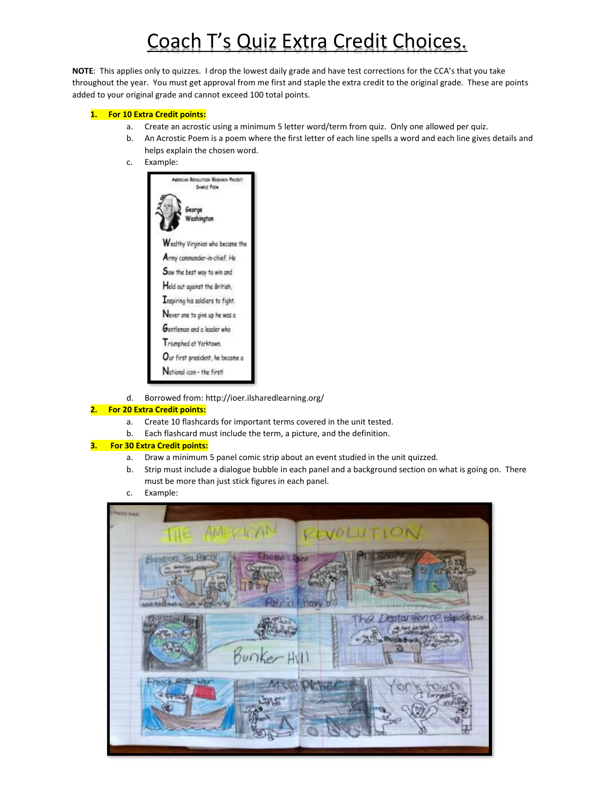# Coach T's Quiz Extra Credit Choices.

**NOTE**: This applies only to quizzes. I drop the lowest daily grade and have test corrections for the CCA's that you take throughout the year. You must get approval from me first and staple the extra credit to the original grade. These are points added to your original grade and cannot exceed 100 total points.

#### **1. For 10 Extra Credit points:**

- a. Create an acrostic using a minimum 5 letter word/term from quiz. Only one allowed per quiz.
- b. An Acrostic Poem is a poem where the first letter of each line spells a word and each line gives details and helps explain the chosen word.
- c. Example:



d. Borrowed from: http://ioer.ilsharedlearning.org/

### **2. For 20 Extra Credit points:**

- a. Create 10 flashcards for important terms covered in the unit tested.
- b. Each flashcard must include the term, a picture, and the definition.

#### **3. For 30 Extra Credit points:**

- a. Draw a minimum 5 panel comic strip about an event studied in the unit quizzed.
- b. Strip must include a dialogue bubble in each panel and a background section on what is going on. There must be more than just stick figures in each panel.
- c. Example:

| <b>Literature States</b>               |            |
|----------------------------------------|------------|
| THE AMERICAN                           | PEVOLUTION |
| <b>Comment</b><br>Patrick <sup>1</sup> | Henry      |
| Bunker Hill                            |            |
|                                        |            |